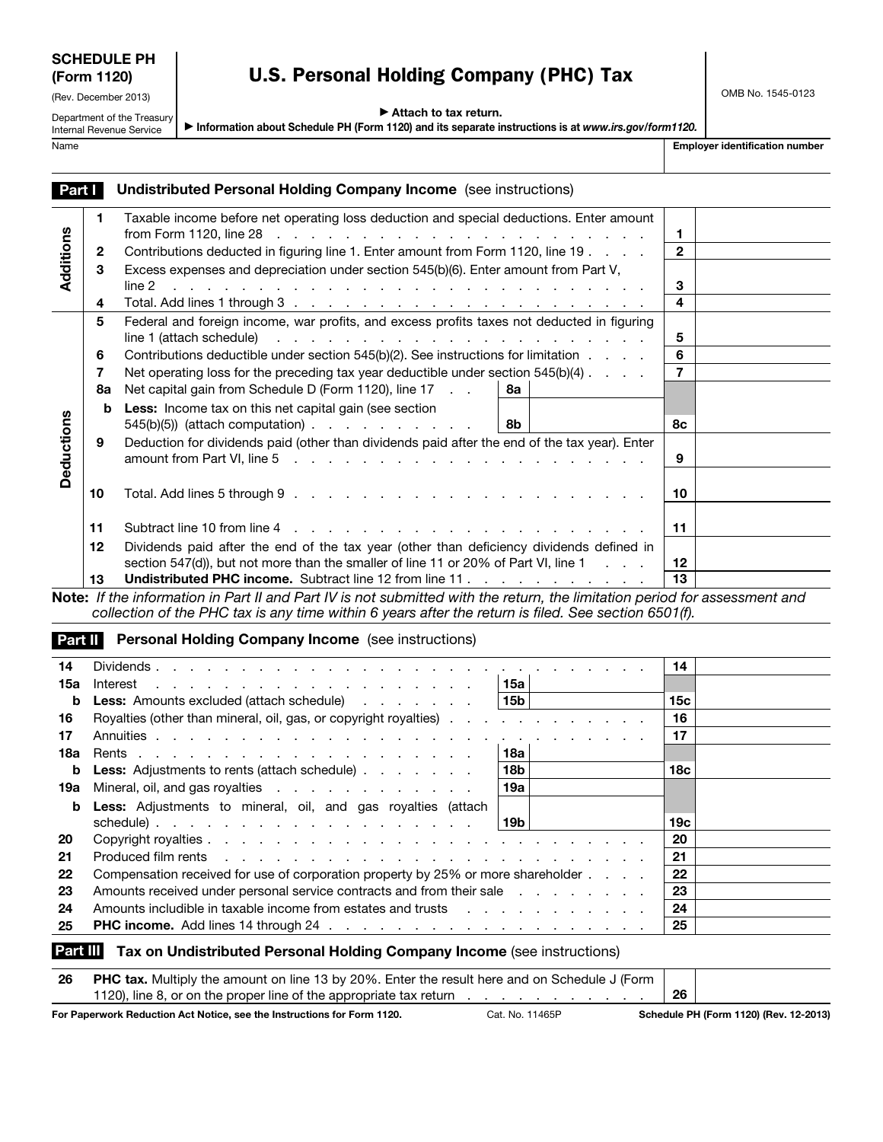| <b>SCHEDULE PH</b> |  |
|--------------------|--|
| (Form 1120)        |  |

## (Rev. December 2013)

Department of the Treasury Internal Revenue Service

## U.S. Personal Holding Company (PHC) Tax

OMB No. 1545-0123

▶ Attach to tax return.

▶ Information about Schedule PH (Form 1120) and its separate instructions is at *www.irs.gov/form1120.*

Name **Employer identification number**  $\blacksquare$ 

| <b>Part   Undistributed Personal Holding Company Income</b> (see instructions) |  |
|--------------------------------------------------------------------------------|--|

|                   | 1            | Taxable income before net operating loss deduction and special deductions. Enter amount                                                                                                                                                                                                                                         | 1               |  |
|-------------------|--------------|---------------------------------------------------------------------------------------------------------------------------------------------------------------------------------------------------------------------------------------------------------------------------------------------------------------------------------|-----------------|--|
| Additions         | $\mathbf{2}$ | Contributions deducted in figuring line 1. Enter amount from Form 1120, line 19                                                                                                                                                                                                                                                 | $\mathbf{2}$    |  |
|                   | 3            | Excess expenses and depreciation under section 545(b)(6). Enter amount from Part V,<br>line 2<br>and the contract of the contract of the contract of the contract of the contract of the contract of the contract of the contract of the contract of the contract of the contract of the contract of the contract of the contra | 3               |  |
|                   | 4            |                                                                                                                                                                                                                                                                                                                                 | 4               |  |
|                   | 5            | Federal and foreign income, war profits, and excess profits taxes not deducted in figuring<br>$\mathsf{line}1$ (attach schedule) $\qquad \qquad \ldots \qquad \qquad \ldots \qquad \qquad \ldots \qquad \ldots \qquad \ldots \qquad \ldots$                                                                                     | 5               |  |
|                   | 6            | Contributions deductible under section 545(b)(2). See instructions for limitation                                                                                                                                                                                                                                               | 6               |  |
|                   | 7            | Net operating loss for the preceding tax year deductible under section $545(b)(4)$                                                                                                                                                                                                                                              | $\overline{7}$  |  |
|                   | 8a           | Net capital gain from Schedule D (Form 1120), line 17<br>8а                                                                                                                                                                                                                                                                     |                 |  |
| <b>Deductions</b> | b            | Less: Income tax on this net capital gain (see section<br>8b                                                                                                                                                                                                                                                                    | 8с              |  |
|                   | 9            | Deduction for dividends paid (other than dividends paid after the end of the tax year). Enter                                                                                                                                                                                                                                   | 9               |  |
|                   | 10           |                                                                                                                                                                                                                                                                                                                                 | 10              |  |
|                   | 11           | Subtract line 10 from line 4 response to the contract time 10 from line 4 response to the contract of the contract of the contract of the contract of the contract of the contract of the contract of the contract of the cont                                                                                                  | 11              |  |
|                   | $12 \,$      | Dividends paid after the end of the tax year (other than deficiency dividends defined in<br>section 547(d)), but not more than the smaller of line 11 or 20% of Part VI, line 1 $\ldots$                                                                                                                                        | 12 <sup>2</sup> |  |
|                   | 13           | <b>Undistributed PHC income.</b> Subtract line 12 from line 11                                                                                                                                                                                                                                                                  | 13              |  |
|                   |              |                                                                                                                                                                                                                                                                                                                                 |                 |  |

Note: *If the information in Part II and Part IV is not submitted with the return, the limitation period for assessment and collection of the PHC tax is any time within 6 years after the return is filed. See section 6501(f).*

**Part II** Personal Holding Company Income (see instructions)

| 14  |                                                                                                                                                                                                                                | 14  |  |
|-----|--------------------------------------------------------------------------------------------------------------------------------------------------------------------------------------------------------------------------------|-----|--|
| 15а | l 15a l                                                                                                                                                                                                                        |     |  |
| b   | <b>Less:</b> Amounts excluded (attach schedule)<br>∣15b l                                                                                                                                                                      | 15c |  |
| 16  | Royalties (other than mineral, oil, gas, or copyright royalties)                                                                                                                                                               | 16  |  |
| 17  |                                                                                                                                                                                                                                | 17  |  |
| 18а | 18а                                                                                                                                                                                                                            |     |  |
| b   | 18 <sub>b</sub><br><b>Less:</b> Adjustments to rents (attach schedule)                                                                                                                                                         | 18с |  |
|     | 19a l<br>19a Mineral, oil, and gas royalties                                                                                                                                                                                   |     |  |
| b   | Less: Adjustments to mineral, oil, and gas royalties (attach                                                                                                                                                                   |     |  |
|     | l 19b l<br>schedule)                                                                                                                                                                                                           | 19c |  |
| 20  |                                                                                                                                                                                                                                | 20  |  |
| 21  | Produced film rents in the contract of the contract of the contract of the contract of the contract of the contract of the contract of the contract of the contract of the contract of the contract of the contract of the con | 21  |  |
| 22  | Compensation received for use of corporation property by 25% or more shareholder                                                                                                                                               | 22  |  |
| 23  | Amounts received under personal service contracts and from their sale entitled as a contract of the Amounts and T                                                                                                              | 23  |  |
| 24  | Amounts includible in taxable income from estates and trusts and the state of the state of the state of the state of the state of the state of the state of the state of the state of the state of the state of the state of t | 24  |  |
| 25  |                                                                                                                                                                                                                                | 25  |  |

## Part III Tax on Undistributed Personal Holding Company Income (see instructions)

| <b>26</b> PHC tax. Multiply the amount on line 13 by 20%. Enter the result here and on Schedule J (Form                           |                 |    |                                        |
|-----------------------------------------------------------------------------------------------------------------------------------|-----------------|----|----------------------------------------|
| 1120), line 8, or on the proper line of the appropriate tax return entity is a control of the state of the appropriate tax return |                 | 26 |                                        |
| For Paperwork Reduction Act Notice, see the Instructions for Form 1120.                                                           | Cat. No. 11465P |    | Schedule PH (Form 1120) (Rev. 12-2013) |